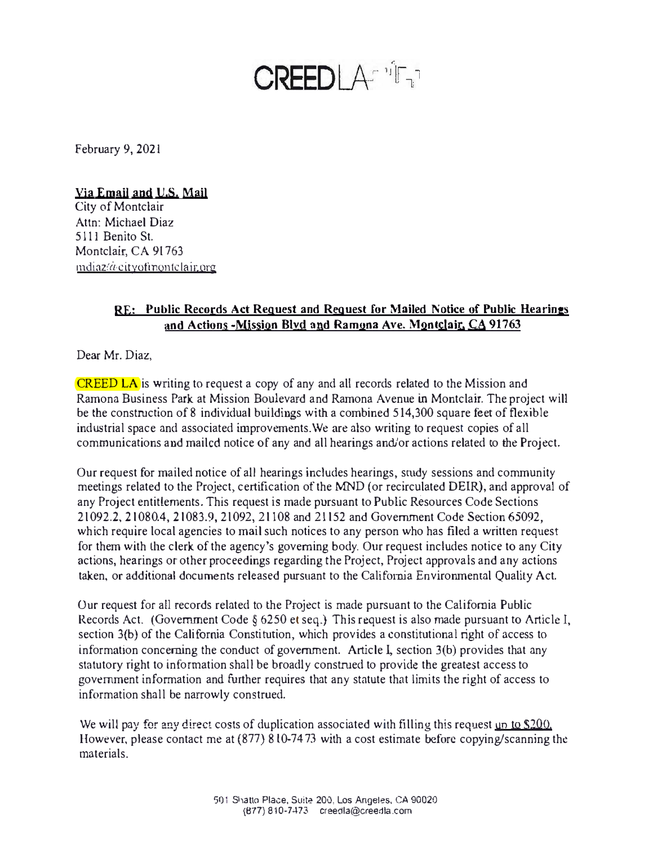## **CREEDLASTIFT**

February 9, 2021

## Via Email and U.S. Mail

City of Montclair Attn: Michael Diaz 5111 Benito St. Montclair, CA 91763  $m$ diaz $\alpha$  cityofinontclair org

## **RE: Public Records Act Request and Request for Mailed Notice of Public Hearings and Actions -Mission Blvd and Ramona Ave. Montclair. CA 91763**

Dear Mr. Diaz,

CREED LA is writing to request a copy of any and all records related to the Mission and Ramona Business Park at Mission Boulevard and Ramona Avenue in Montclair. The project will be the construction of 8 individual buildings with a combined 514,300 square feet of flexible industrial space and associated improvements.We are also writing to request copies of all communications and mailed notice of any and all hearings and/or actions related to the Project.

Our request for mailed notice of all hearings includes hearings, smdy sessions and community meetings related to the Project, certification of the MND (or recirculated DEIR), and approval of any Project entitlements. This request is made pursuant to Public Resources Code Sections 2 l092.2, 21080.4, 21083.9, 2 l 092, 21108 and 21152 and Government Code Section 65092, which require local agencies to mail such notices to any person who has filed a written request for them with the clerk of the agency's governing body. Our request includes notice to any City actions, hearings or other proceedings regarding the Project, Project approvals and any actions taken, or additional documents released pursuant to the California Environmental Quality Act.

Our request for all records related to the Project is made pursuant to the California Public Records Act. (Government Code § 6250 et seq.) This request is also made pursuant to Article I, section 3(b) of the California Constitution, which provides a constitutional right of access to information concerning the conduct of government. Article I, section 3(b) provides that any statutory right to information shall be broadly construed to provide the greatest access to government information and further requires that any statute that limits the right of access to information shall be narrowly construed.

We will pay for any direct costs of duplication associated with filling this request un to \$200. However, please contact me at  $(877) 810-7473$  with a cost estimate before copying/scanning the materials.